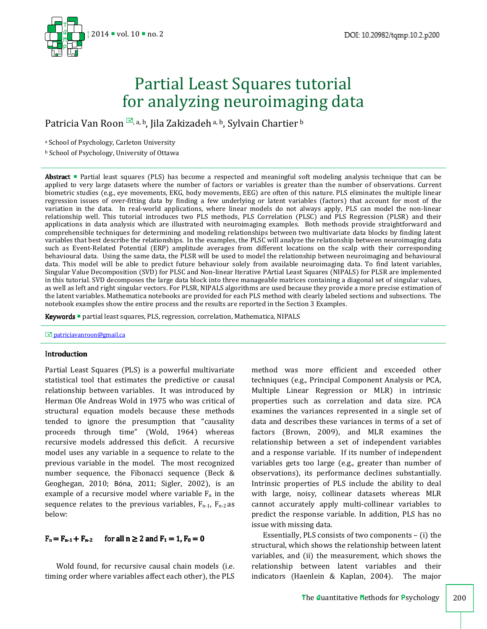

# Partial Least Squares tutorial for analyzing neuroimaging data

Patricia Van Roon , a, b, Jila Zakizadeh a, b, Sylvain Chartier b

<sup>a</sup> School of Psychology, Carleton University

<sup>b</sup> School of Psychology, University of Ottawa

Abstract **Partial least squares (PLS)** has become a respected and meaningful soft modeling analysis technique that can be applied to very large datasets where the number of factors or variables is greater than the number of observations. Current biometric studies (e.g., eye movements, EKG, body movements, EEG) are often of this nature. PLS eliminates the multiple linear regression issues of over-fitting data by finding a few underlying or latent variables (factors) that account for most of the variation in the data. In real-world applications, where linear models do not always apply, PLS can model the non-linear relationship well. This tutorial introduces two PLS methods, PLS Correlation (PLSC) and PLS Regression (PLSR) and their applications in data analysis which are illustrated with neuroimaging examples. Both methods provide straightforward and comprehensible techniques for determining and modeling relationships between two multivariate data blocks by finding latent variables that best describe the relationships. In the examples, the PLSC will analyze the relationship between neuroimaging data such as Event-Related Potential (ERP) amplitude averages from different locations on the scalp with their corresponding behavioural data. Using the same data, the PLSR will be used to model the relationship between neuroimaging and behavioural data. This model will be able to predict future behaviour solely from available neuroimaging data. To find latent variables, Singular Value Decomposition (SVD) for PLSC and Non-linear Iterative PArtial Least Squares (NIPALS) for PLSR are implemented in this tutorial. SVD decomposes the large data block into three manageable matrices containing a diagonal set of singular values, as well as left and right singular vectors. For PLSR, NIPALS algorithms are used because they provide a more precise estimation of the latent variables. Mathematica notebooks are provided for each PLS method with clearly labeled sections and subsections. The notebook examples show the entire process and the results are reported in the Section 3 Examples.

Keywords **•** partial least squares, PLS, regression, correlation, Mathematica, NIPALS

**E** patriciavanroon@gmail.ca

#### Introduction

Partial Least Squares (PLS) is a powerful multivariate statistical tool that estimates the predictive or causal relationship between variables. It was introduced by Herman Ole Andreas Wold in 1975 who was critical of structural equation models because these methods tended to ignore the presumption that "causality proceeds through time" (Wold, 1964) whereas recursive models addressed this deficit. A recursive model uses any variable in a sequence to relate to the previous variable in the model. The most recognized number sequence, the Fibonacci sequence (Beck & Geoghegan, 2010; Bóna, 2011; Sigler, 2002), is an example of a recursive model where variable  $F_n$  in the sequence relates to the previous variables,  $F_{n-1}$ ,  $F_{n-2}$  as below:

# $F_n = F_{n-1} + F_{n-2}$  for all  $n \ge 2$  and  $F_1 = 1$ ,  $F_0 = 0$

Wold found, for recursive causal chain models (i.e. timing order where variables affect each other), the PLS method was more efficient and exceeded other techniques (e.g., Principal Component Analysis or PCA, Multiple Linear Regression or MLR) in intrinsic properties such as correlation and data size. PCA examines the variances represented in a single set of data and describes these variances in terms of a set of factors (Brown, 2009), and MLR examines the relationship between a set of independent variables and a response variable. If its number of independent variables gets too large (e.g., greater than number of observations), its performance declines substantially. Intrinsic properties of PLS include the ability to deal with large, noisy, collinear datasets whereas MLR cannot accurately apply multi-collinear variables to predict the response variable. In addition, PLS has no issue with missing data.

Essentially, PLS consists of two components – (i) the structural, which shows the relationship between latent variables, and (ii) the measurement, which shows the relationship between latent variables and their indicators (Haenlein & Kaplan, 2004). The major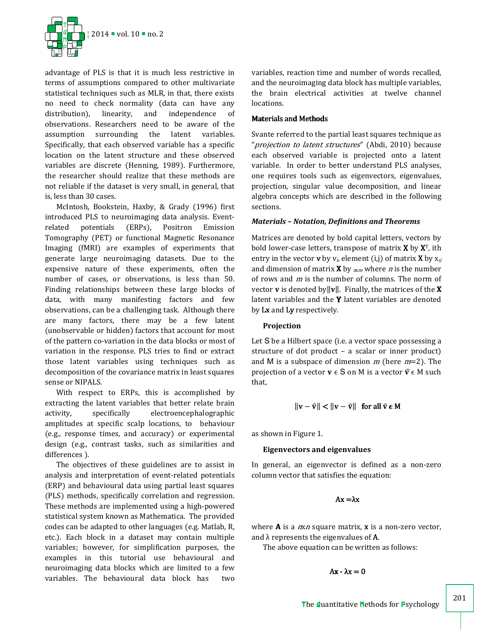

advantage of PLS is that it is much less restrictive in terms of assumptions compared to other multivariate statistical techniques such as MLR, in that, there exists no need to check normality (data can have any distribution), linearity, and independence of observations. Researchers need to be aware of the assumption surrounding the latent variables. Specifically, that each observed variable has a specific location on the latent structure and these observed variables are discrete (Henning, 1989). Furthermore, the researcher should realize that these methods are not reliable if the dataset is very small, in general, that is, less than 30 cases.

McIntosh, Bookstein, Haxby, & Grady (1996) first introduced PLS to neuroimaging data analysis. Eventrelated potentials (ERPs), Positron Emission Tomography (PET) or functional Magnetic Resonance Imaging (fMRI) are examples of experiments that generate large neuroimaging datasets. Due to the expensive nature of these experiments, often the number of cases, or observations, is less than 50. Finding relationships between these large blocks of data, with many manifesting factors and few observations, can be a challenging task. Although there are many factors, there may be a few latent (unobservable or hidden) factors that account for most of the pattern co-variation in the data blocks or most of variation in the response. PLS tries to find or extract those latent variables using techniques such as decomposition of the covariance matrix in least squares sense or NIPALS.

With respect to ERPs, this is accomplished by extracting the latent variables that better relate brain activity, specifically electroencephalographic amplitudes at specific scalp locations, to behaviour (e.g., response times, and accuracy) or experimental design (e.g., contrast tasks, such as similarities and differences ).

The objectives of these guidelines are to assist in analysis and interpretation of event-related potentials (ERP) and behavioural data using partial least squares (PLS) methods, specifically correlation and regression. These methods are implemented using a high-powered statistical system known as Mathematica. The provided codes can be adapted to other languages (e.g. Matlab, R, etc.). Each block in a dataset may contain multiple variables; however, for simplification purposes, the examples in this tutorial use behavioural and neuroimaging data blocks which are limited to a few variables. The behavioural data block has two

variables, reaction time and number of words recalled, and the neuroimaging data block has multiple variables, the brain electrical activities at twelve channel locations.

## **Materials and Methods**

Svante referred to the partial least squares technique as "*projection to latent structures*" (Abdi, 2010) because each observed variable is projected onto a latent variable. In order to better understand PLS analyses, one requires tools such as eigenvectors, eigenvalues, projection, singular value decomposition, and linear algebra concepts which are described in the following sections.

## *Materials – Notation, Definitions and Theorems*

Matrices are denoted by bold capital letters, vectors by bold lower-case letters, transpose of matrix  $X$  by  $X<sup>T</sup>$ , ith entry in the vector **v** by  $v_i$ , element (i,j) of matrix **X** by  $x_{ij}$ and dimension of matrix **X** by  $_{m,m}$  where *n* is the number of rows and  $m$  is the number of columns. The norm of vector **v** is denoted by  $||v||$ . Finally, the matrices of the **X** latent variables and the  $Y$  latent variables are denoted by Lx and Ly respectively.

# **Projection**

Let S be a Hilbert space (i.e. a vector space possessing a structure of dot product – a scalar or inner product) and M is a subspace of dimension  $m$  (here  $m=2$ ). The projection of a vector  $\mathbf{v} \in \mathbf{S}$  on M is a vector  $\hat{\mathbf{v}} \in \mathbf{M}$  such that,

$$
\|\mathbf{v} - \hat{\mathbf{v}}\| < \|\mathbf{v} - \tilde{\mathbf{v}}\| \quad \text{for all } \tilde{\mathbf{v}} \in \mathbf{M}
$$

as shown in Figure 1.

## **Eigenvectors and eigenvalues**

In general, an eigenvector is defined as a non-zero column vector that satisfies the equation:

Ax=λx

where  $A$  is a  $n \times n$  square matrix,  $x$  is a non-zero vector, and  $\lambda$  represents the eigenvalues of **A**.

The above equation can be written as follows:

 $Ax - \lambda x = 0$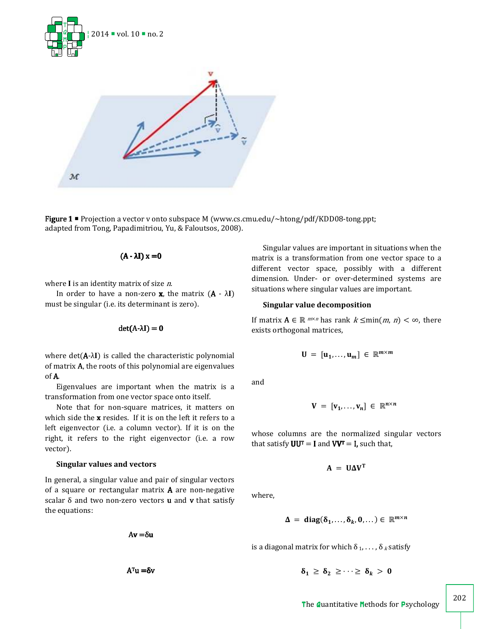



**Figure 1 =** Projection a vector v onto subspace M (www.cs.cmu.edu/~htong/pdf/KDD08-tong.ppt; adapted from Tong, Papadimitriou, Yu, & Faloutsos, 2008).

$$
(A - \lambda I) x = 0
$$

where  $I$  is an identity matrix of size  $n$ .

In order to have a non-zero **x**, the matrix  $(A - \lambda I)$ must be singular (i.e. its determinant is zero).

$$
\det(A\text{-}\lambda I)=0
$$

where  $det(A-\lambda I)$  is called the characteristic polynomial of matrixA, the roots of this polynomial are eigenvalues of A.

Eigenvalues are important when the matrix is a transformation from one vector space onto itself.

Note that for non-square matrices, it matters on which side the  $x$  resides. If it is on the left it refers to a left eigenvector (i.e. a column vector). If it is on the right, it refers to the right eigenvector (i.e. a row vector).

## **Singular values and vectors**

In general, a singular value and pair of singular vectors of a square or rectangular matrix A are non-negative scalar  $\delta$  and two non-zero vectors **u** and **v** that satisfy the equations:

Av=δu

 $A<sup>T</sup>u = δv$ 

Singular values are important in situations when the matrix is a transformation from one vector space to a different vector space, possibly with a different dimension. Under- or over-determined systems are situations where singular values are important.

#### **Singular value decomposition**

If matrix  $\mathbf{A} \in \mathbb{R}^{m \times n}$  has rank  $k \leq \min(m, n) < \infty$ , there exists orthogonal matrices,

$$
\mathbf{U} = [\mathbf{u}_1, \dots, \mathbf{u}_m] \in \mathbb{R}^{m \times m}
$$

and

$$
\mathbf{V} = [\mathbf{v}_1, \dots, \mathbf{v}_n] \in \mathbb{R}^{n \times n}
$$

whose columns are the normalized singular vectors that satisfy  $UU^T = I$  and  $VV^T = I$ , such that,

$$
A = U \Delta V^{T}
$$

where,

$$
\Delta = \text{diag}(\delta_1,\ldots,\delta_k,0,\ldots) \in \mathbb{R}^{m \times n}
$$

is a diagonal matrix for which  $\delta_1, \ldots, \delta_k$  satisfy

$$
\delta_1 \geq \delta_2 \geq \cdots \geq \delta_k > 0
$$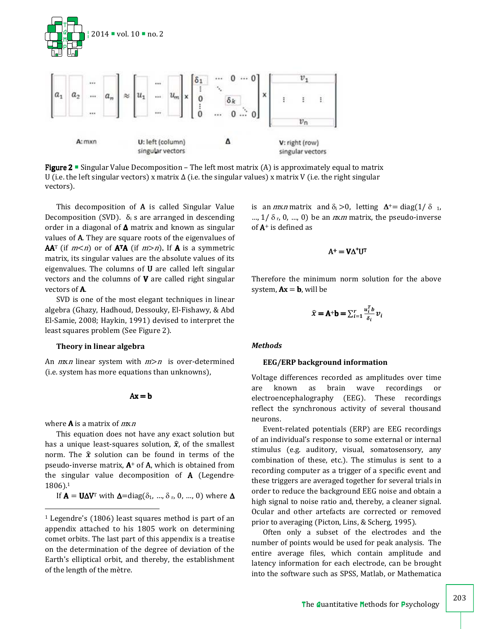

**Figure 2** • Singular Value Decomposition – The left most matrix (A) is approximately equal to matrix U (i.e. the left singular vectors) x matrix  $\Delta$  (i.e. the singular values) x matrix V (i.e. the right singular vectors).

This decomposition of A is called Singular Value Decomposition (SVD).  $\delta_i$  s are arranged in descending order in a diagonal of  $\Delta$  matrix and known as singular values of  $A$ . They are square roots of the eigenvalues of  $AA<sup>T</sup>$  (if  $m < n$ ) or of  $A<sup>T</sup>A$  (if  $m > n$ ). If A is a symmetric matrix, its singular values are the absolute values of its eigenvalues. The columns of U are called left singular vectors and the columns of  $V$  are called right singular vectors of A.

SVD is one of the most elegant techniques in linear algebra (Ghazy, Hadhoud, Dessouky, El-Fishawy, & Abd El-Samie, 2008; Haykin, 1991) devised to interpret the least squares problem (See Figure 2).

#### **Theory in linear algebra**

An  $mxn$  linear system with  $m>n$  is over-determined (i.e. system has more equations than unknowns),

 $Ax = b$ 

where  $\bf{A}$  is a matrix of  $mxn$ 

This equation does not have any exact solution but has a unique least-squares solution,  $\hat{x}$ , of the smallest norm. The  $\hat{x}$  solution can be found in terms of the pseudo-inverse matrix,  $A^+$  of  $A$ , which is obtained from the singular value decomposition of A (Legendre, 1806).<sup>1</sup>

If  $\mathbf{A} = \mathbf{U} \Delta \mathbf{V}^T$  with  $\Delta = \text{diag}(\delta_1, ..., \delta_r, 0, ..., 0)$  where  $\Delta$ 

is an *mxn* matrix and  $\delta_i > 0$ , letting  $\Delta^+$  = diag(1/ $\delta$  1, ...,  $1/\delta_r$ , 0, ..., 0) be an  $n \times m$  matrix, the pseudo-inverse of  $A^+$  is defined as

$$
A^+ = V\Delta^+ U^{\scriptscriptstyle T}
$$

Therefore the minimum norm solution for the above system,  $Ax = b$ , will be

$$
\widehat{x} = A^{+}b = \sum_{i=1}^{r} \frac{u_i^T b}{\delta_i} v_i
$$

#### *Methods*

#### **EEG/ERP background information**

Voltage differences recorded as amplitudes over time are known as brain wave recordings or electroencephalography (EEG). These recordings reflect the synchronous activity of several thousand neurons.

Event-related potentials (ERP) are EEG recordings of an individual's response to some external or internal stimulus (e.g. auditory, visual, somatosensory, any combination of these, etc.). The stimulus is sent to a recording computer as a trigger of a specific event and these triggers are averaged together for several trials in order to reduce the background EEG noise and obtain a high signal to noise ratio and, thereby, a cleaner signal. Ocular and other artefacts are corrected or removed prior to averaging (Picton, Lins, & Scherg, 1995).

Often only a subset of the electrodes and the number of points would be used for peak analysis. The entire average files, which contain amplitude and latency information for each electrode, can be brought into the software such as SPSS, Matlab, or Mathematica

<sup>1</sup> Legendre's (1806) least squares method is part of an appendix attached to his 1805 work on determining comet orbits. The last part of this appendix is a treatise on the determination of the degree of deviation of the Earth's elliptical orbit, and thereby, the establishment of the length of the mètre.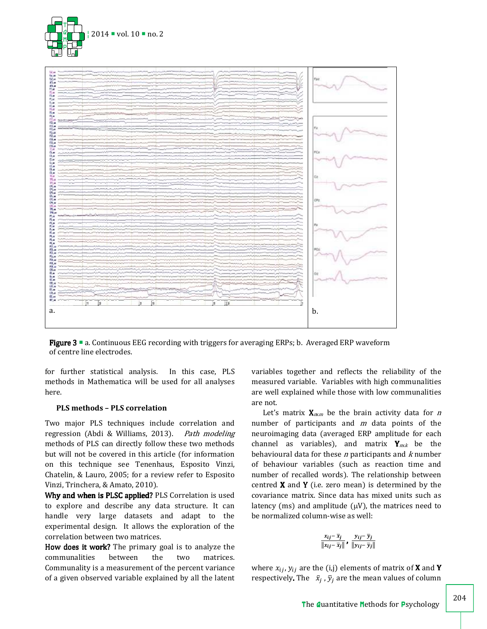



**Figure 3**  $\blacksquare$  a. Continuous EEG recording with triggers for averaging ERPs; b. Averaged ERP waveform of centre line electrodes.

for further statistical analysis. In this case, PLS methods in Mathematica will be used for all analyses here.

## **PLS methods – PLS correlation**

Two major PLS techniques include correlation and regression (Abdi & Williams, 2013). Path modeling methods of PLS can directly follow these two methods but will not be covered in this article (for information on this technique see Tenenhaus, Esposito Vinzi, Chatelin, & Lauro, 2005; for a review refer to Esposito Vinzi, Trinchera, & Amato, 2010).

Why and when is PLSC applied? PLS Correlation is used to explore and describe any data structure. It can handle very large datasets and adapt to the experimental design. It allows the exploration of the correlation between two matrices.

How does it work? The primary goal is to analyze the communalities between the two matrices. Communality is a measurement of the percent variance of a given observed variable explained by all the latent variables together and reflects the reliability of the measured variable. Variables with high communalities are well explained while those with low communalities are not.

Let's matrix  $\mathbf{X}_{m,m}$  be the brain activity data for *n* number of participants and  $m$  data points of the neuroimaging data (averaged ERP amplitude for each channel as variables), and matrix  $Y_{mxk}$  be the behavioural data for these  $n$  participants and  $k$  number of behaviour variables (such as reaction time and number of recalled words). The relationship between centred  $X$  and  $Y$  (i.e. zero mean) is determined by the covariance matrix. Since data has mixed units such as latency (ms) and amplitude  $(\mu V)$ , the matrices need to be normalized column-wise as well:

$$
\frac{x_{ij}-\overline{x}_j}{\left\|x_{ij}-\overline{x}_j\right\|},\,\frac{y_{ij}-\overline{y}_j}{\left\|y_{ij}-\overline{y}_j\right\|}
$$

where  $x_{ij}$ ,  $y_{ij}$  are the (i,j) elements of matrix of **X** and **Y** respectively. The  $\bar{x}_j$ ,  $\bar{y}_j$  are the mean values of column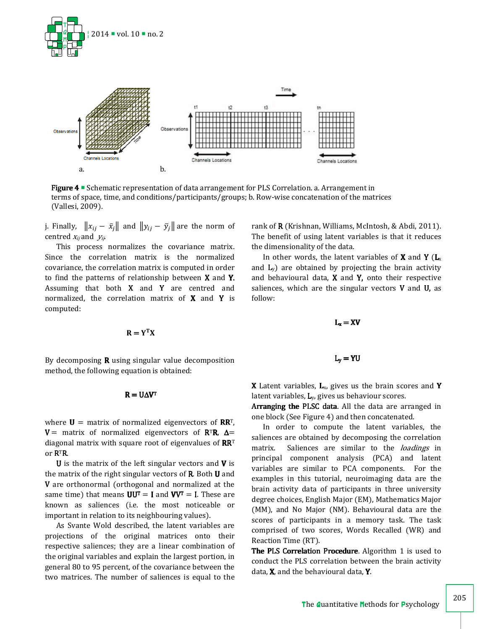



Figure 4 <sup>=</sup> Schematic representation of data arrangement for PLS Correlation. a. Arrangement in terms of space, time, and conditions/participants/groups; b. Row-wise concatenation of the matrices (Vallesi, 2009).

j. Finally,  $||x_{ij} - \bar{x}_j||$  and  $||y_{ij} - \bar{y}_j||$  are the norm of centred  $x_{ij}$  and  $y_{ij}$ .

This process normalizes the covariance matrix. Since the correlation matrix is the normalized covariance, the correlation matrix is computed in order to find the patterns of relationship between X and Y. Assuming that both  $X$  and  $Y$  are centred and normalized, the correlation matrix of  $X$  and  $Y$  is computed:

$$
\mathbf{R} = \mathbf{Y}^{\mathrm{T}} \mathbf{X}
$$

By decomposing  $\bf{R}$  using singular value decomposition method, the following equation is obtained:

$$
R = U \Delta V^T
$$

where  $U =$  matrix of normalized eigenvectors of  $RR^{T}$ , V = matrix of normalized eigenvectors of  $R^{T}R$ ,  $\Delta$  = diagonal matrix with square root of eigenvalues of  $RR<sup>T</sup>$ or RTR.

**U** is the matrix of the left singular vectors and  $V$  is the matrix of the right singular vectors of **. Both**  $**U**$  **and** V are orthonormal (orthogonal and normalized at the same time) that means  $UU^T = I$  and  $VV^T = I$ . These are known as saliences (i.e. the most noticeable or important in relation to its neighbouring values).

As Svante Wold described, the latent variables are projections of the original matrices onto their respective saliences; they are a linear combination of the original variables and explain the largest portion, in general 80 to 95 percent, of the covariance between the two matrices. The number of saliences is equal to the rank of **R** (Krishnan, Williams, McIntosh, & Abdi, 2011). The benefit of using latent variables is that it reduces the dimensionality of the data.

In other words, the latent variables of **X** and **Y** ( $L_x$ and  $L_v$ ) are obtained by projecting the brain activity and behavioural data,  $X$  and  $Y$ , onto their respective saliences, which are the singular vectors  $V$  and  $U$ , as follow:

$$
L_x = XV
$$

**X** Latent variables,  $L_{x}$ , gives us the brain scores and **Y** latent variables, Ly, gives us behaviour scores.

 $L_v = YU$ 

Arranging the PLSC data. All the data are arranged in one block (See Figure 4) and then concatenated.

In order to compute the latent variables, the saliences are obtained by decomposing the correlation matrix. Saliences are similar to the *loadings* in principal component analysis (PCA) and latent variables are similar to PCA components. For the examples in this tutorial, neuroimaging data are the brain activity data of participants in three university degree choices, English Major (EM), Mathematics Major (MM), and No Major (NM). Behavioural data are the scores of participants in a memory task. The task comprised of two scores, Words Recalled (WR) and Reaction Time (RT).

The PLS Correlation Procedure. Algorithm 1 is used to conduct the PLS correlation between the brain activity data, X, and the behavioural data, Y.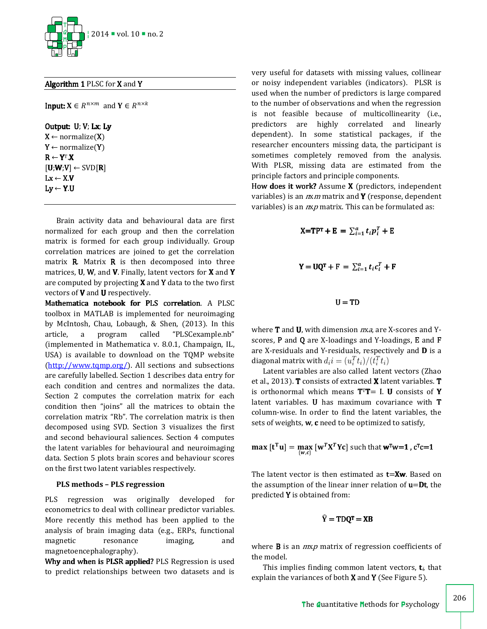

Algorithm 1 PLSC for X and Y

**Input:**  $X \in R^{n \times m}$  and  $Y \in R^{n \times k}$ 

Output: U; V; Lx; Ly  $X \leftarrow$  normalize(X)  $Y \leftarrow$  normalize(Y)  $R \leftarrow Y^T.X$  $[U;W;V] \leftarrow \text{SVD}[R]$  $Lx \leftarrow X.V$  $Ly \leftarrow Y.U$ 

Brain activity data and behavioural data are first normalized for each group and then the correlation matrix is formed for each group individually. Group correlation matrices are joined to get the correlation matrix  $\bf{R}$ . Matrix  $\bf{R}$  is then decomposed into three matrices,  $U$ ,  $W$ , and  $V$ . Finally, latent vectors for  $X$  and  $Y$ are computed by projecting X and Y data to the two first vectors of V and U respectively.

Mathematica notebook for PLS correlation. A PLSC toolbox in MATLAB is implemented for neuroimaging by McIntosh, Chau, Lobaugh, & Shen, (2013). In this article, a program called "PLSCexample.nb" (implemented in Mathematica v. 8.0.1, Champaign, IL, USA) is available to download on the TQMP website (http://www.tqmp.org/). All sections and subsections are carefully labelled. Section 1 describes data entry for each condition and centres and normalizes the data. Section 2 computes the correlation matrix for each condition then "joins" all the matrices to obtain the correlation matrix "Rb". The correlation matrix is then decomposed using SVD. Section 3 visualizes the first and second behavioural saliences. Section 4 computes the latent variables for behavioural and neuroimaging data. Section 5 plots brain scores and behaviour scores on the first two latent variables respectively.

## **PLS methods – PLS regression**

PLS regression was originally developed for econometrics to deal with collinear predictor variables. More recently this method has been applied to the analysis of brain imaging data (e.g., ERPs, functional magnetic resonance imaging, and magnetoencephalography).

Why and when is PLSR applied? PLS Regression is used to predict relationships between two datasets and is

very useful for datasets with missing values, collinear or noisy independent variables (indicators). PLSR is used when the number of predictors is large compared to the number of observations and when the regression is not feasible because of multicollinearity (i.e., predictors are highly correlated and linearly dependent). In some statistical packages, if the researcher encounters missing data, the participant is sometimes completely removed from the analysis. With PLSR, missing data are estimated from the principle factors and principle components.

How does it work? Assume X (predictors, independent variables) is an  $n x m$  matrix and **Y** (response, dependent variables) is an  $n x p$  matrix. This can be formulated as:

$$
X=TP^{T} + E = \sum_{i=1}^{a} t_i p_i^{T} + E
$$

$$
Y = UQ^{T} + F = \sum_{i=1}^{a} t_i c_i^{T} + F
$$

$$
U = TD
$$

where  **and**  $**U**$ **, with dimension**  $nxa$ **, are X-scores and Y**scores, P and Q are X-loadings and Y-loadings, E and F are X-residuals and Y-residuals, respectively and D is a diagonal matrix with  $d_i i = (u_i^T t_i)/(t_i^T t_i)$ 

Latent variables are also called latent vectors (Zhao et al., 2013). T consists of extracted X latent variables. T is orthonormal which means  $T^T T = I$ . U consists of Y latent variables. U has maximum covariance with T column-wise. In order to find the latent variables, the sets of weights, w, c need to be optimized to satisfy,

$$
\max\left[\mathbf{t}^{\mathrm{T}}\mathbf{u}\right] = \max_{\{\mathbf{w},c\}}\left[\mathbf{w}^T\mathbf{X}^T\mathbf{Y}c\right]\text{ such that }\mathbf{w}^{\mathrm{T}}\mathbf{w} = 1, c^{\mathrm{T}}c = 1
$$

The latent vector is then estimated as  $t=Xw$ . Based on the assumption of the linear inner relation of  $u=Dt$ , the predicted Y is obtained from:

$$
\widehat{Y} = T D Q^{T} = X B
$$

where  $\bf{B}$  is an  $m x p$  matrix of regression coefficients of the model.

This implies finding common latent vectors,  $t_i$ , that explain the variances of both **X** and **Y** (See Figure 5).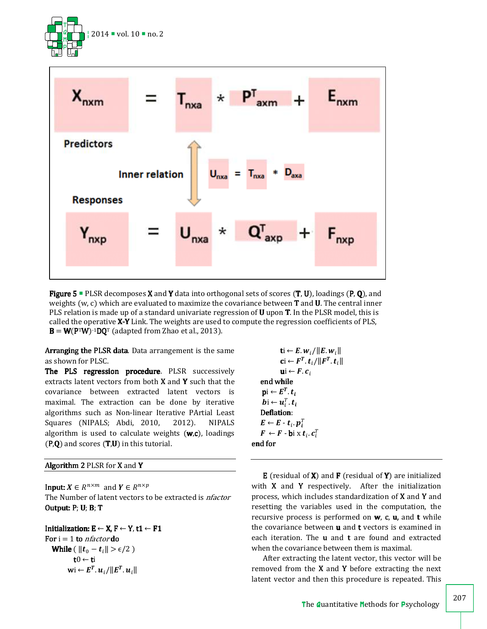



**Figure 5** PLSR decomposes **X** and **Y** data into orthogonal sets of scores  $(T, U)$ , loadings  $(P, O)$ , and weights (w, c) which are evaluated to maximize the covariance between T and U. The central inner PLS relation is made up of a standard univariate regression of **U** upon **T**. In the PLSR model, this is called the operative X-Y Link. The weights are used to compute the regression coefficients of PLS,  $B = W(P^T W)^{-1} D Q^T$  (adapted from Zhao et al., 2013).

Arranging the PLSR data. Data arrangement is the same as shown for PLSC.

The PLS regression procedure. PLSR successively extracts latent vectors from both  $X$  and  $Y$  such that the covariance between extracted latent vectors is maximal. The extraction can be done by iterative algorithms such as Non-linear Iterative PArtial Least Squares (NIPALS; Abdi, 2010, 2012). NIPALS algorithm is used to calculate weights  $(w, c)$ , loadings  $(P,Q)$  and scores  $(T,U)$  in this tutorial.

## Algorithm 2 PLSR for X and Y

**Input:**  $X \in R^{n \times m}$  and  $Y \in R^{n \times p}$ The Number of latent vectors to be extracted is *nfactor* Output:  $P$ ; U; B; T

Initialization:  $E \leftarrow X$ ,  $F \leftarrow Y$ , t1  $\leftarrow F1$ For  $i = 1$  to *nfactor* do While (  $||t_0 - t_i|| > \epsilon/2$  )  $t0 \leftarrow t$ i  $\textbf{w}$ i $\textbf{w} \leftarrow \textbf{\textit{E}}^{T}$ .  $\textbf{\textit{u}}_{i}/\|\textbf{\textit{E}}^{T}$ .  $\textbf{\textit{u}}_{i}\|$ 

 $\mathbf{t}$ i ←  $E. w_i / ||E. w_i||$  $\mathbf{c}$ i  $\leftarrow$   $F^T$ .  $\boldsymbol{t}_i / \|\boldsymbol{F}^T$ .  $\boldsymbol{t}_i\|$  $ui \leftarrow F.c_i$ end while  $\mathrm{pi} \leftarrow E^T$ .  $t_i$  $\boldsymbol{b}$ i ←  $\boldsymbol{u}_i^T$ .  $\boldsymbol{t}_i$ Deflation:  $\boldsymbol{E} \leftarrow \boldsymbol{E} \cdot \boldsymbol{t}_i.\, \boldsymbol{p}_i^T$  $\bm{F} \leftarrow \bm{F} \cdot \bm{\mathsf{bi}} \times \bm{t}_i \cdot \bm{c}_i^T$ end for

E (residual of  $X$ ) and  $F$  (residual of  $Y$ ) are initialized with  $X$  and  $Y$  respectively. After the initialization process, which includes standardization of X and Y and resetting the variables used in the computation, the recursive process is performed on  $w$ ,  $c$ ,  $u$ , and  $t$  while the covariance between u and t vectors is examined in each iteration. The  $u$  and  $t$  are found and extracted when the covariance between them is maximal.

After extracting the latent vector, this vector will be removed from the  $X$  and  $Y$  before extracting the next latent vector and then this procedure is repeated. This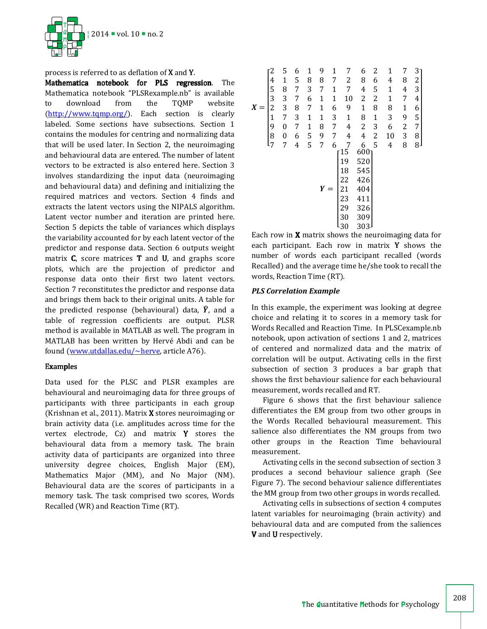

process is referred to as deflation of X and Y.

Mathematica notebook for PLS regression. The Mathematica notebook "PLSRexample.nb" is available to download from the TQMP website (http://www.tqmp.org/). Each section is clearly labeled. Some sections have subsections. Section 1 contains the modules for centring and normalizing data that will be used later. In Section 2, the neuroimaging and behavioural data are entered. The number of latent vectors to be extracted is also entered here. Section 3 involves standardizing the input data (neuroimaging and behavioural data) and defining and initializing the required matrices and vectors. Section 4 finds and extracts the latent vectors using the NIPALS algorithm. Latent vector number and iteration are printed here. Section 5 depicts the table of variances which displays the variability accounted for by each latent vector of the predictor and response data. Section 6 outputs weight matrix  $C$ , score matrices  $T$  and  $U$ , and graphs score plots, which are the projection of predictor and response data onto their first two latent vectors. Section 7 reconstitutes the predictor and response data and brings them back to their original units. A table for the predicted response (behavioural) data,  $\hat{Y}$ , and a table of regression coefficients are output. PLSR method is available in MATLAB as well. The program in MATLAB has been written by Hervé Abdi and can be found (www.utdallas.edu/~herve, article A76).

## Examples

Data used for the PLSC and PLSR examples are behavioural and neuroimaging data for three groups of participants with three participants in each group (Krishnan et al., 2011). Matrix X stores neuroimaging or brain activity data (i.e. amplitudes across time for the vertex electrode, Cz) and matrix Y stores the behavioural data from a memory task. The brain activity data of participants are organized into three university degree choices, English Major (EM), Mathematics Major (MM), and No Major (NM). Behavioural data are the scores of participants in a memory task. The task comprised two scores, Words Recalled (WR) and Reaction Time (RT).

| X | $\frac{4}{5}$<br>3<br>$\overline{c}$<br>$\mathbf{1}$<br>9<br>8<br>$\mathsf{l}_7$ | 5<br>$\mathbf{1}$<br>8<br>3<br>3<br>7<br>$\overline{0}$<br>$\boldsymbol{0}$<br>7 | 6<br>5<br>7<br>7<br>8<br>3<br>7<br>6<br>$\overline{4}$ | 1<br>8<br>3<br>6<br>7<br>$\mathbf{1}$<br>$\mathbf{1}$<br>5<br>5 | 9<br>8<br>7<br>1<br>$\mathbf{1}$<br>$\mathbf{1}$<br>8<br>9<br>7 | 1<br>7<br>$\mathbf{1}$<br>$\mathbf{1}$<br>6<br>3<br>7<br>7<br>6 | 7<br>2<br>7<br>10<br>9<br>$\mathbf{1}$<br>4<br>$\overline{4}$<br>7  | 6<br>8<br>4<br>2<br>$\mathbf{1}$<br>8<br>2<br>4                            | 2<br>6<br>5<br>$\overline{c}$<br>8<br>$\mathbf{1}$<br>3<br>$\overline{c}$<br>5 | 1<br>4<br>$\mathbf{1}$<br>$\mathbf{1}$<br>8<br>3<br>6<br>10<br>4 | 7<br>8<br>4<br>7<br>$\mathbf{1}$<br>9<br>$\overline{\mathbf{c}}$<br>3<br>8 | $3 -$<br>$\frac{2}{3}$<br>$\overline{4}$<br>6<br>$\frac{5}{7}$<br>8<br>$_{8}$ |
|---|----------------------------------------------------------------------------------|----------------------------------------------------------------------------------|--------------------------------------------------------|-----------------------------------------------------------------|-----------------------------------------------------------------|-----------------------------------------------------------------|---------------------------------------------------------------------|----------------------------------------------------------------------------|--------------------------------------------------------------------------------|------------------------------------------------------------------|----------------------------------------------------------------------------|-------------------------------------------------------------------------------|
|   |                                                                                  |                                                                                  |                                                        |                                                                 | Y                                                               |                                                                 | $15\,$<br>19<br>18<br>$\overline{22}$<br>21<br>23<br>29<br>30<br>30 | $600$ <sup>6</sup><br>520<br>545<br>426<br>404<br>411<br>326<br>309<br>303 |                                                                                |                                                                  |                                                                            |                                                                               |

Each row in X matrix shows the neuroimaging data for each participant. Each row in matrix Y shows the number of words each participant recalled (words Recalled) and the average time he/she took to recall the words, Reaction Time (RT).

#### *PLS Correlation Example*

In this example, the experiment was looking at degree choice and relating it to scores in a memory task for Words Recalled and Reaction Time. In PLSCexample.nb notebook, upon activation of sections 1 and 2, matrices of centered and normalized data and the matrix of correlation will be output. Activating cells in the first subsection of section 3 produces a bar graph that shows the first behaviour salience for each behavioural measurement, words recalled and RT.

Figure 6 shows that the first behaviour salience differentiates the EM group from two other groups in the Words Recalled behavioural measurement. This salience also differentiates the NM groups from two other groups in the Reaction Time behavioural measurement.

Activating cells in the second subsection of section 3 produces a second behaviour salience graph (See Figure 7). The second behaviour salience differentiates the MM group from two other groups in words recalled.

Activating cells in subsections of section 4 computes latent variables for neuroimaging (brain activity) and behavioural data and are computed from the saliences V and U respectively.

208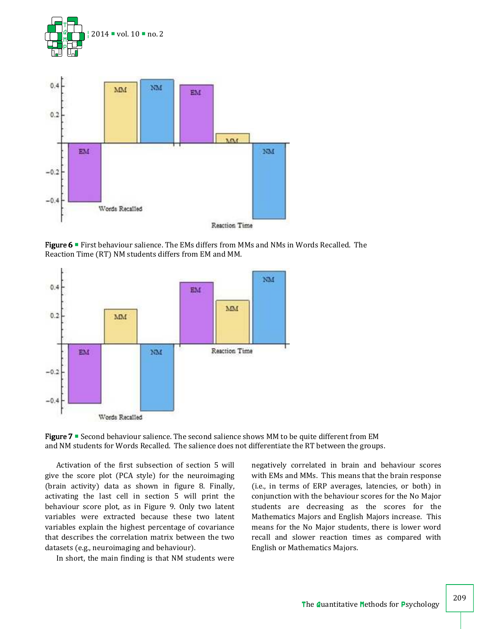



Figure 6 **First behaviour salience. The EMs differs from MMs and NMs in Words Recalled. The** Reaction Time (RT) NM students differs from EM and MM.



Figure  $7$   $\blacksquare$  Second behaviour salience. The second salience shows MM to be quite different from EM and NM students for Words Recalled. The salience does not differentiate the RT between the groups.

Activation of the first subsection of section 5 will give the score plot (PCA style) for the neuroimaging (brain activity) data as shown in figure 8. Finally, activating the last cell in section 5 will print the behaviour score plot, as in Figure 9. Only two latent variables were extracted because these two latent variables explain the highest percentage of covariance that describes the correlation matrix between the two datasets (e.g., neuroimaging and behaviour).

In short, the main finding is that NM students were

negatively correlated in brain and behaviour scores with EMs and MMs. This means that the brain response (i.e., in terms of ERP averages, latencies, or both) in conjunction with the behaviour scores for the No Major students are decreasing as the scores for the Mathematics Majors and English Majors increase. This means for the No Major students, there is lower word recall and slower reaction times as compared with English or Mathematics Majors.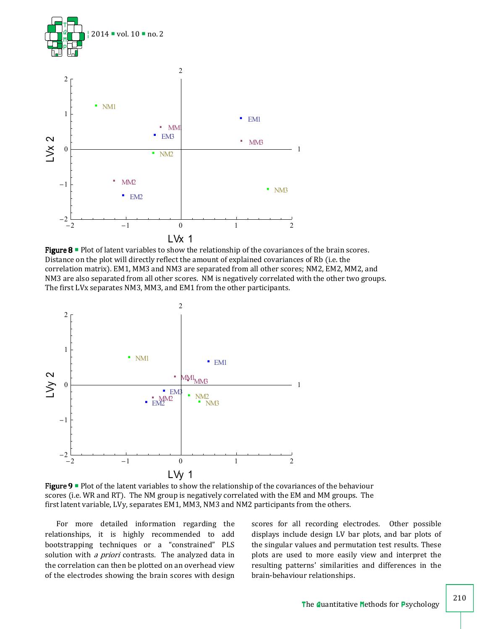

**Figure 8**  $\blacksquare$  Plot of latent variables to show the relationship of the covariances of the brain scores. Distance on the plot will directly reflect the amount of explained covariances of Rb (i.e. the correlation matrix). EM1, MM3 and NM3 are separated from all other scores; NM2, EM2, MM2, and NM3 are also separated from all other scores. NM is negatively correlated with the other two groups. The first LVx separates NM3, MM3, and EM1 from the other participants.



Figure 9  $\blacksquare$  Plot of the latent variables to show the relationship of the covariances of the behaviour scores (i.e. WR and RT). The NM group is negatively correlated with the EM and MM groups. The first latent variable, LVy, separates EM1, MM3, NM3 and NM2 participants from the others.

For more detailed information regarding the relationships, it is highly recommended to add bootstrapping techniques or a "constrained" PLS solution with *a priori* contrasts. The analyzed data in the correlation can then be plotted on an overhead view of the electrodes showing the brain scores with design scores for all recording electrodes. Other possible displays include design LV bar plots, and bar plots of the singular values and permutation test results. These plots are used to more easily view and interpret the resulting patterns' similarities and differences in the brain-behaviour relationships.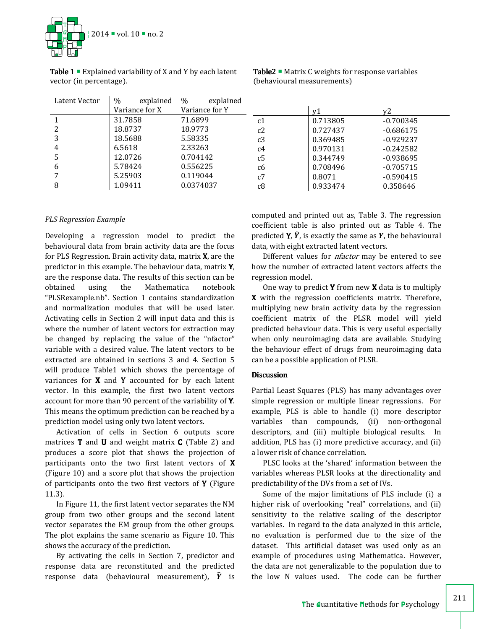

**Table 1**  $\blacksquare$  Explained variability of X and Y by each latent vector (in percentage).

| Latent Vector | $\%$<br>explained | explained<br>$\%$ |                |
|---------------|-------------------|-------------------|----------------|
|               | Variance for X    | Variance for Y    |                |
| 1             | 31.7858           | 71.6899           | c1             |
| 2             | 18.8737           | 18.9773           | c2             |
| 3             | 18.5688           | 5.58335           | c3             |
| 4             | 6.5618            | 2.33263           | c <sub>4</sub> |
| 5             | 12.0726           | 0.704142          | c <sub>5</sub> |
| 6             | 5.78424           | 0.556225          | c6             |
| 7             | 5.25903           | 0.119044          | c7             |
| 8             | 1.09411           | 0.0374037         | c8             |

Table2  $\blacksquare$  Matrix C weights for response variables (behavioural measurements)

 $y1$   $y2$ c1 0.713805 -0.700345 c2 0.727437 -0.686175 c3 0.369485 -0.929237 0.970131 -0.242582 0.344749 -0.938695 0.708496 -0.705715 0.8071 -0.590415 0.933474 0.358646

## *PLS Regression Example*

Developing a regression model to predict the behavioural data from brain activity data are the focus for PLS Regression. Brain activity data, matrix X, are the predictor in this example. The behaviour data, matrix Y, are the response data. The results of this section can be obtained using the Mathematica notebook "PLSRexample.nb". Section 1 contains standardization and normalization modules that will be used later. Activating cells in Section 2 will input data and this is where the number of latent vectors for extraction may be changed by replacing the value of the "nfactor" variable with a desired value. The latent vectors to be extracted are obtained in sections 3 and 4. Section 5 will produce Table1 which shows the percentage of variances for  $X$  and  $Y$  accounted for by each latent vector. In this example, the first two latent vectors account for more than 90 percent of the variability of Y. This means the optimum prediction can be reached by a prediction model using only two latent vectors.

Activation of cells in Section 6 outputs score matrices  $T$  and  $U$  and weight matrix  $C$  (Table 2) and produces a score plot that shows the projection of participants onto the two first latent vectors of X (Figure 10) and a score plot that shows the projection of participants onto the two first vectors of  $Y$  (Figure 11.3).

In Figure 11, the first latent vector separates the NM group from two other groups and the second latent vector separates the EM group from the other groups. The plot explains the same scenario as Figure 10. This shows the accuracy of the prediction.

By activating the cells in Section 7, predictor and response data are reconstituted and the predicted response data (behavioural measurement),  $\hat{Y}$  is computed and printed out as, Table 3. The regression coefficient table is also printed out as Table 4. The predicted **Y**,  $\hat{Y}$ , is exactly the same as **Y**, the behavioural data, with eight extracted latent vectors.

Different values for *nfactor* may be entered to see how the number of extracted latent vectors affects the regression model.

One way to predict  $Y$  from new  $X$  data is to multiply  $X$  with the regression coefficients matrix. Therefore, multiplying new brain activity data by the regression coefficient matrix of the PLSR model will yield predicted behaviour data. This is very useful especially when only neuroimaging data are available. Studying the behaviour effect of drugs from neuroimaging data can be a possible application of PLSR.

## Discussion

Partial Least Squares (PLS) has many advantages over simple regression or multiple linear regressions. For example, PLS is able to handle (i) more descriptor variables than compounds, (ii) non-orthogonal descriptors, and (iii) multiple biological results. In addition, PLS has (i) more predictive accuracy, and (ii) a lower risk of chance correlation.

PLSC looks at the 'shared' information between the variables whereas PLSR looks at the directionality and predictability of the DVs from a set of IVs.

Some of the major limitations of PLS include (i) a higher risk of overlooking "real" correlations, and (ii) sensitivity to the relative scaling of the descriptor variables. In regard to the data analyzed in this article, no evaluation is performed due to the size of the dataset. This artificial dataset was used only as an example of procedures using Mathematica. However, the data are not generalizable to the population due to the low N values used. The code can be further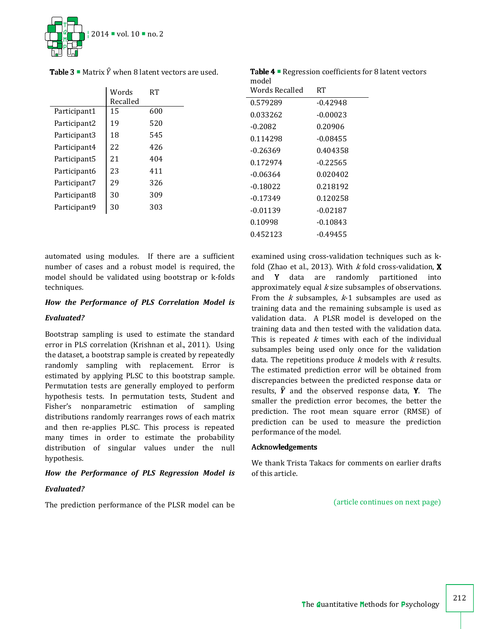

**Table 3**  $\blacksquare$  Matrix  $\hat{Y}$  when 8 latent vectors are used.

|              | Words<br>Recalled | RТ  |
|--------------|-------------------|-----|
| Participant1 | 15                | 600 |
| Participant2 | 19                | 520 |
| Participant3 | 18                | 545 |
| Participant4 | 22                | 426 |
| Participant5 | 21                | 404 |
| Participant6 | 23                | 411 |
| Participant7 | 29                | 326 |
| Participant8 | 30                | 309 |
| Participant9 | 30                | 303 |
|              |                   |     |

Table 4 **Regression coefficients for 8 latent vectors** model

| ,,,,,,,,,      |            |
|----------------|------------|
| Words Recalled | RТ         |
| 0.579289       | $-0.42948$ |
| 0.033262       | $-0.00023$ |
| -0.2082        | 0.20906    |
| 0.114298       | $-0.08455$ |
| -0.26369       | 0.404358   |
| 0.172974       | $-0.22565$ |
| -0.06364       | 0.020402   |
| -0.18022       | 0.218192   |
| -0.17349       | 0.120258   |
| -0.01139       | $-0.02187$ |
| 0.10998        | $-0.10843$ |
| 0.452123       | $-0.49455$ |
|                |            |

automated using modules. If there are a sufficient number of cases and a robust model is required, the model should be validated using bootstrap or k-folds techniques.

# *How the Performance of PLS Correlation Model is*

## *Evaluated?*

Bootstrap sampling is used to estimate the standard error in PLS correlation (Krishnan et al., 2011). Using the dataset, a bootstrap sample is created by repeatedly randomly sampling with replacement. Error is estimated by applying PLSC to this bootstrap sample. Permutation tests are generally employed to perform hypothesis tests. In permutation tests, Student and Fisher's nonparametric estimation of sampling distributions randomly rearranges rows of each matrix and then re-applies PLSC. This process is repeated many times in order to estimate the probability distribution of singular values under the null hypothesis.

# *How the Performance of PLS Regression Model is*

# *Evaluated?*

The prediction performance of the PLSR model can be

examined using cross-validation techniques such as kfold (Zhao et al., 2013). With  $k$  fold cross-validation,  $X$ and Y data are randomly partitioned into approximately equal  $k$  size subsamples of observations. From the  $k$  subsamples,  $k-1$  subsamples are used as training data and the remaining subsample is used as validation data. A PLSR model is developed on the training data and then tested with the validation data. This is repeated  $k$  times with each of the individual subsamples being used only once for the validation data. The repetitions produce  $k$  models with  $k$  results. The estimated prediction error will be obtained from discrepancies between the predicted response data or results,  $\hat{Y}$  and the observed response data, Y. The smaller the prediction error becomes, the better the prediction. The root mean square error (RMSE) of prediction can be used to measure the prediction performance of the model.

# Acknowledgements Acknowledgements

We thank Trista Takacs for comments on earlier drafts of this article.

(article continues on next page)

212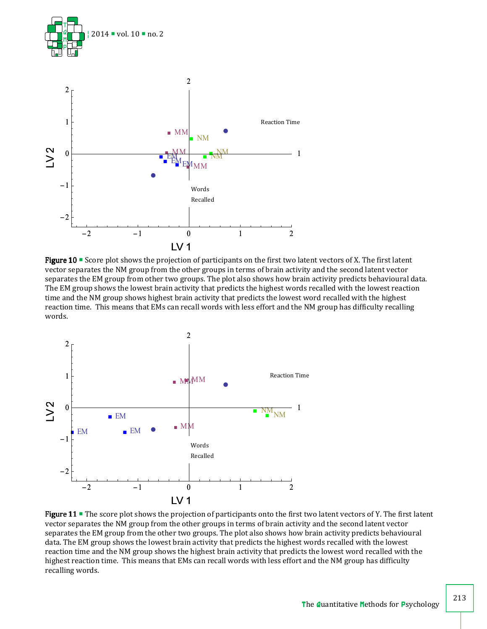

**Figure 10**  $\blacksquare$  Score plot shows the projection of participants on the first two latent vectors of X. The first latent vector separates the NM group from the other groups in terms of brain activity and the second latent vector separates the EM group from other two groups. The plot also shows how brain activity predicts behavioural data. The EM group shows the lowest brain activity that predicts the highest words recalled with the lowest reaction time and the NM group shows highest brain activity that predicts the lowest word recalled with the highest reaction time. This means that EMs can recall words with less effort and the NM group has difficulty recalling words.



Figure 11  $\blacksquare$  The score plot shows the projection of participants onto the first two latent vectors of Y. The first latent vector separates the NM group from the other groups in terms of brain activity and the second latent vector separates the EM group from the other two groups. The plot also shows how brain activity predicts behavioural data. The EM group shows the lowest brain activity that predicts the highest words recalled with the lowest reaction time and the NM group shows the highest brain activity that predicts the lowest word recalled with the highest reaction time. This means that EMs can recall words with less effort and the NM group has difficulty recalling words.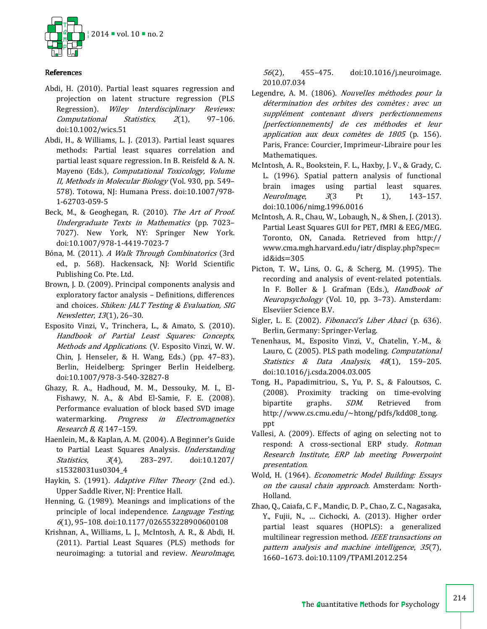

# References

- Abdi, H. (2010). Partial least squares regression and projection on latent structure regression (PLS Regression). Wiley Interdisciplinary Reviews: Computational Statistics, 2(1), 97–106. doi:10.1002/wics.51
- Abdi, H., & Williams, L. J. (2013). Partial least squares methods: Partial least squares correlation and partial least square regression. In B. Reisfeld & A. N. Mayeno (Eds.), Computational Toxicology, Volume II, Methods in Molecular Biology (Vol. 930, pp. 549– 578). Totowa, NJ: Humana Press. doi:10.1007/978- 1-62703-059-5
- Beck, M., & Geoghegan, R. (2010). The Art of Proof. Undergraduate Texts in Mathematics (pp. 7023– 7027). New York, NY: Springer New York. doi:10.1007/978-1-4419-7023-7
- Bóna, M. (2011). A Walk Through Combinatorics (3rd ed., p. 568). Hackensack, NJ: World Scientific Publishing Co. Pte. Ltd.
- Brown, J. D. (2009). Principal components analysis and exploratory factor analysis – Definitions, differences and choices. Shiken: JALT Testing & Evaluation, SIG Newsletter, 13(1), 26–30.
- Esposito Vinzi, V., Trinchera, L., & Amato, S. (2010). Handbook of Partial Least Squares: Concepts, Methods and Applications. (V. Esposito Vinzi, W. W. Chin, J. Henseler, & H. Wang, Eds.) (pp. 47–83). Berlin, Heidelberg: Springer Berlin Heidelberg. doi:10.1007/978-3-540-32827-8
- Ghazy, R. A., Hadhoud, M. M., Dessouky, M. I., El-Fishawy, N. A., & Abd El-Samie, F. E. (2008). Performance evaluation of block based SVD image watermarking. Progress in Electromagnetics Research B, 8, 147–159.
- Haenlein, M., & Kaplan, A. M. (2004). A Beginner's Guide to Partial Least Squares Analysis. Understanding Statistics, 3(4), 283–297. doi:10.1207/ s15328031us0304\_4
- Haykin, S. (1991). Adaptive Filter Theory (2nd ed.). Upper Saddle River, NJ: Prentice Hall.
- Henning, G. (1989). Meanings and implications of the principle of local independence. *Language Testing*, <sup>6</sup>(1), 95–108. doi:10.1177/026553228900600108
- Krishnan, A., Williams, L. J., McIntosh, A. R., & Abdi, H. (2011). Partial Least Squares (PLS) methods for neuroimaging: a tutorial and review. NeuroImage,

56(2), 455–475. doi:10.1016/j.neuroimage. 2010.07.034

- Legendre, A. M. (1806). Nouvelles méthodes pour la détermination des orbites des comètes : avec un supplément contenant divers perfectionnemens [perfectionnements] de ces méthodes et leur application aux deux comètes de 1805 (p. 156). Paris, France: Courcier, Imprimeur-Libraire pour les Mathematiques.
- McIntosh, A. R., Bookstein, F. L., Haxby, J. V., & Grady, C. L. (1996). Spatial pattern analysis of functional brain images using partial least squares. NeuroImage,  $3(3$  Pt 1), 143-157. doi:10.1006/nimg.1996.0016
- McIntosh, A. R., Chau, W., Lobaugh, N., & Shen, J. (2013). Partial Least Squares GUI for PET, fMRI & EEG/MEG. Toronto, ON, Canada. Retrieved from http:// www.cma.mgh.harvard.edu/iatr/display.php?spec= id&ids=305
- Picton, T. W., Lins, O. G., & Scherg, M. (1995). The recording and analysis of event-related potentials. In F. Boller & J. Grafman (Eds.), *Handbook of* Neuropsychology (Vol. 10, pp. 3–73). Amsterdam: Elseviier Science B.V.
- Sigler, L. E. (2002). *Fibonacci's Liber Abaci* (p. 636). Berlin, Germany: Springer-Verlag.
- Tenenhaus, M., Esposito Vinzi, V., Chatelin, Y.-M., & Lauro, C. (2005). PLS path modeling. Computational Statistics & Data Analysis, 48(1), 159-205. doi:10.1016/j.csda.2004.03.005
- Tong, H., Papadimitriou, S., Yu, P. S., & Faloutsos, C. (2008). Proximity tracking on time-evolving bipartite graphs. SDM. Retrieved from http://www.cs.cmu.edu/~htong/pdfs/kdd08\_tong. ppt
- Vallesi, A. (2009). Effects of aging on selecting not to respond: A cross-sectional ERP study. Rotman Research Institute, ERP lab meeting Powerpoint presentation.
- Wold, H. (1964). Econometric Model Building: Essays on the causal chain approach. Amsterdam: North-Holland.
- Zhao, Q., Caiafa, C. F., Mandic, D. P., Chao, Z. C., Nagasaka, Y., Fujii, N., … Cichocki, A. (2013). Higher order partial least squares (HOPLS): a generalized multilinear regression method. IEEE transactions on pattern analysis and machine intelligence, 35(7), 1660–1673. doi:10.1109/TPAMI.2012.254